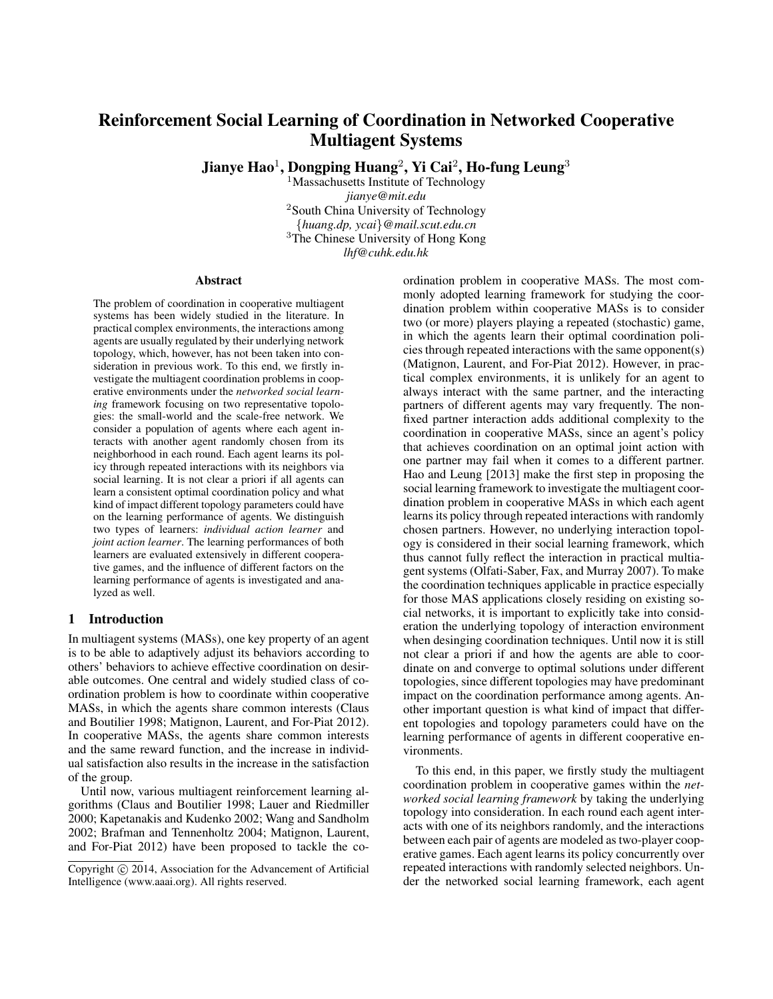# Reinforcement Social Learning of Coordination in Networked Cooperative Multiagent Systems

Jianye Hao $^1$ , Dongping Huang $^2$ , Yi Cai $^2$ , Ho-fung Leung $^3$ 

<sup>1</sup>Massachusetts Institute of Technology *jianye@mit.edu* <sup>2</sup>South China University of Technology {*huang.dp, ycai*}*@mail.scut.edu.cn* <sup>3</sup>The Chinese University of Hong Kong *lhf@cuhk.edu.hk*

#### Abstract

The problem of coordination in cooperative multiagent systems has been widely studied in the literature. In practical complex environments, the interactions among agents are usually regulated by their underlying network topology, which, however, has not been taken into consideration in previous work. To this end, we firstly investigate the multiagent coordination problems in cooperative environments under the *networked social learning* framework focusing on two representative topologies: the small-world and the scale-free network. We consider a population of agents where each agent interacts with another agent randomly chosen from its neighborhood in each round. Each agent learns its policy through repeated interactions with its neighbors via social learning. It is not clear a priori if all agents can learn a consistent optimal coordination policy and what kind of impact different topology parameters could have on the learning performance of agents. We distinguish two types of learners: *individual action learner* and *joint action learner*. The learning performances of both learners are evaluated extensively in different cooperative games, and the influence of different factors on the learning performance of agents is investigated and analyzed as well.

#### 1 Introduction

In multiagent systems (MASs), one key property of an agent is to be able to adaptively adjust its behaviors according to others' behaviors to achieve effective coordination on desirable outcomes. One central and widely studied class of coordination problem is how to coordinate within cooperative MASs, in which the agents share common interests (Claus and Boutilier 1998; Matignon, Laurent, and For-Piat 2012). In cooperative MASs, the agents share common interests and the same reward function, and the increase in individual satisfaction also results in the increase in the satisfaction of the group.

Until now, various multiagent reinforcement learning algorithms (Claus and Boutilier 1998; Lauer and Riedmiller 2000; Kapetanakis and Kudenko 2002; Wang and Sandholm 2002; Brafman and Tennenholtz 2004; Matignon, Laurent, and For-Piat 2012) have been proposed to tackle the coordination problem in cooperative MASs. The most commonly adopted learning framework for studying the coordination problem within cooperative MASs is to consider two (or more) players playing a repeated (stochastic) game, in which the agents learn their optimal coordination policies through repeated interactions with the same opponent(s) (Matignon, Laurent, and For-Piat 2012). However, in practical complex environments, it is unlikely for an agent to always interact with the same partner, and the interacting partners of different agents may vary frequently. The nonfixed partner interaction adds additional complexity to the coordination in cooperative MASs, since an agent's policy that achieves coordination on an optimal joint action with one partner may fail when it comes to a different partner. Hao and Leung [2013] make the first step in proposing the social learning framework to investigate the multiagent coordination problem in cooperative MASs in which each agent learns its policy through repeated interactions with randomly chosen partners. However, no underlying interaction topology is considered in their social learning framework, which thus cannot fully reflect the interaction in practical multiagent systems (Olfati-Saber, Fax, and Murray 2007). To make the coordination techniques applicable in practice especially for those MAS applications closely residing on existing social networks, it is important to explicitly take into consideration the underlying topology of interaction environment when desinging coordination techniques. Until now it is still not clear a priori if and how the agents are able to coordinate on and converge to optimal solutions under different topologies, since different topologies may have predominant impact on the coordination performance among agents. Another important question is what kind of impact that different topologies and topology parameters could have on the learning performance of agents in different cooperative environments.

To this end, in this paper, we firstly study the multiagent coordination problem in cooperative games within the *networked social learning framework* by taking the underlying topology into consideration. In each round each agent interacts with one of its neighbors randomly, and the interactions between each pair of agents are modeled as two-player cooperative games. Each agent learns its policy concurrently over repeated interactions with randomly selected neighbors. Under the networked social learning framework, each agent

Copyright (c) 2014, Association for the Advancement of Artificial Intelligence (www.aaai.org). All rights reserved.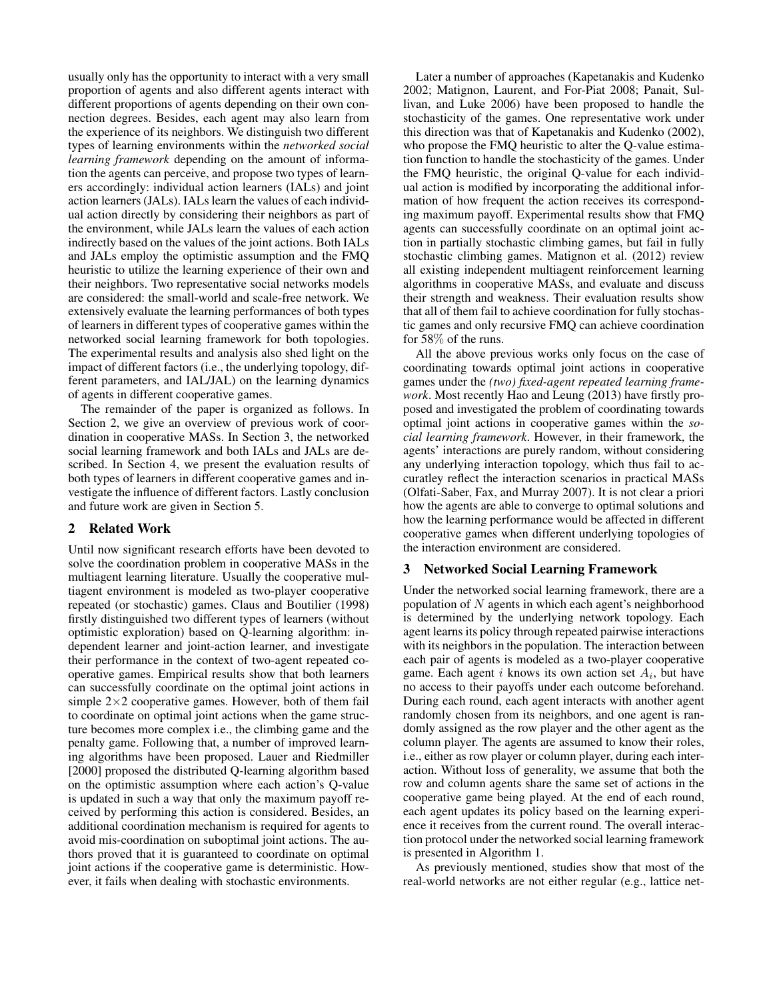usually only has the opportunity to interact with a very small proportion of agents and also different agents interact with different proportions of agents depending on their own connection degrees. Besides, each agent may also learn from the experience of its neighbors. We distinguish two different types of learning environments within the *networked social learning framework* depending on the amount of information the agents can perceive, and propose two types of learners accordingly: individual action learners (IALs) and joint action learners (JALs). IALs learn the values of each individual action directly by considering their neighbors as part of the environment, while JALs learn the values of each action indirectly based on the values of the joint actions. Both IALs and JALs employ the optimistic assumption and the FMQ heuristic to utilize the learning experience of their own and their neighbors. Two representative social networks models are considered: the small-world and scale-free network. We extensively evaluate the learning performances of both types of learners in different types of cooperative games within the networked social learning framework for both topologies. The experimental results and analysis also shed light on the impact of different factors (i.e., the underlying topology, different parameters, and IAL/JAL) on the learning dynamics of agents in different cooperative games.

The remainder of the paper is organized as follows. In Section 2, we give an overview of previous work of coordination in cooperative MASs. In Section 3, the networked social learning framework and both IALs and JALs are described. In Section 4, we present the evaluation results of both types of learners in different cooperative games and investigate the influence of different factors. Lastly conclusion and future work are given in Section 5.

# 2 Related Work

Until now significant research efforts have been devoted to solve the coordination problem in cooperative MASs in the multiagent learning literature. Usually the cooperative multiagent environment is modeled as two-player cooperative repeated (or stochastic) games. Claus and Boutilier (1998) firstly distinguished two different types of learners (without optimistic exploration) based on Q-learning algorithm: independent learner and joint-action learner, and investigate their performance in the context of two-agent repeated cooperative games. Empirical results show that both learners can successfully coordinate on the optimal joint actions in simple  $2\times 2$  cooperative games. However, both of them fail to coordinate on optimal joint actions when the game structure becomes more complex i.e., the climbing game and the penalty game. Following that, a number of improved learning algorithms have been proposed. Lauer and Riedmiller [2000] proposed the distributed Q-learning algorithm based on the optimistic assumption where each action's Q-value is updated in such a way that only the maximum payoff received by performing this action is considered. Besides, an additional coordination mechanism is required for agents to avoid mis-coordination on suboptimal joint actions. The authors proved that it is guaranteed to coordinate on optimal joint actions if the cooperative game is deterministic. However, it fails when dealing with stochastic environments.

Later a number of approaches (Kapetanakis and Kudenko 2002; Matignon, Laurent, and For-Piat 2008; Panait, Sullivan, and Luke 2006) have been proposed to handle the stochasticity of the games. One representative work under this direction was that of Kapetanakis and Kudenko (2002), who propose the FMQ heuristic to alter the Q-value estimation function to handle the stochasticity of the games. Under the FMQ heuristic, the original Q-value for each individual action is modified by incorporating the additional information of how frequent the action receives its corresponding maximum payoff. Experimental results show that FMQ agents can successfully coordinate on an optimal joint action in partially stochastic climbing games, but fail in fully stochastic climbing games. Matignon et al. (2012) review all existing independent multiagent reinforcement learning algorithms in cooperative MASs, and evaluate and discuss their strength and weakness. Their evaluation results show that all of them fail to achieve coordination for fully stochastic games and only recursive FMQ can achieve coordination for 58% of the runs.

All the above previous works only focus on the case of coordinating towards optimal joint actions in cooperative games under the *(two) fixed-agent repeated learning framework*. Most recently Hao and Leung (2013) have firstly proposed and investigated the problem of coordinating towards optimal joint actions in cooperative games within the *social learning framework*. However, in their framework, the agents' interactions are purely random, without considering any underlying interaction topology, which thus fail to accuratley reflect the interaction scenarios in practical MASs (Olfati-Saber, Fax, and Murray 2007). It is not clear a priori how the agents are able to converge to optimal solutions and how the learning performance would be affected in different cooperative games when different underlying topologies of the interaction environment are considered.

## 3 Networked Social Learning Framework

Under the networked social learning framework, there are a population of  $N$  agents in which each agent's neighborhood is determined by the underlying network topology. Each agent learns its policy through repeated pairwise interactions with its neighbors in the population. The interaction between each pair of agents is modeled as a two-player cooperative game. Each agent i knows its own action set  $A_i$ , but have no access to their payoffs under each outcome beforehand. During each round, each agent interacts with another agent randomly chosen from its neighbors, and one agent is randomly assigned as the row player and the other agent as the column player. The agents are assumed to know their roles, i.e., either as row player or column player, during each interaction. Without loss of generality, we assume that both the row and column agents share the same set of actions in the cooperative game being played. At the end of each round, each agent updates its policy based on the learning experience it receives from the current round. The overall interaction protocol under the networked social learning framework is presented in Algorithm 1.

As previously mentioned, studies show that most of the real-world networks are not either regular (e.g., lattice net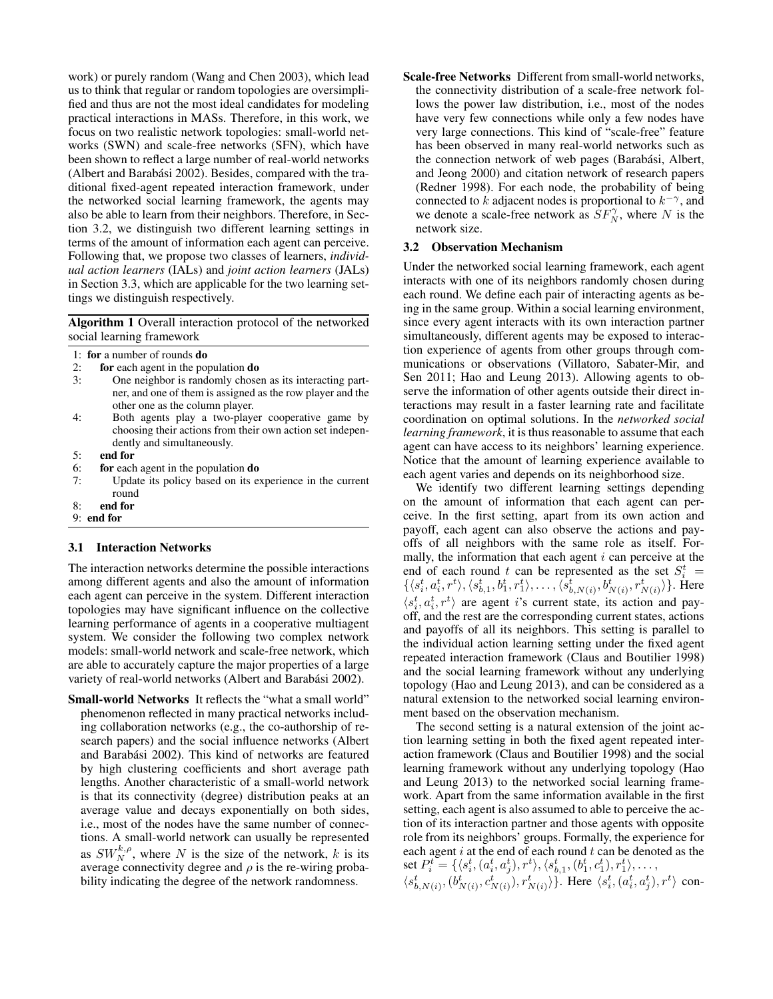work) or purely random (Wang and Chen 2003), which lead us to think that regular or random topologies are oversimplified and thus are not the most ideal candidates for modeling practical interactions in MASs. Therefore, in this work, we focus on two realistic network topologies: small-world networks (SWN) and scale-free networks (SFN), which have been shown to reflect a large number of real-world networks (Albert and Barabási 2002). Besides, compared with the traditional fixed-agent repeated interaction framework, under the networked social learning framework, the agents may also be able to learn from their neighbors. Therefore, in Section 3.2, we distinguish two different learning settings in terms of the amount of information each agent can perceive. Following that, we propose two classes of learners, *individual action learners* (IALs) and *joint action learners* (JALs) in Section 3.3, which are applicable for the two learning settings we distinguish respectively.

Algorithm 1 Overall interaction protocol of the networked social learning framework

- 1: for a number of rounds do
- 2: **for** each agent in the population **do**<br>3: One neighbor is randomly chose
- One neighbor is randomly chosen as its interacting partner, and one of them is assigned as the row player and the other one as the column player.
- 4: Both agents play a two-player cooperative game by choosing their actions from their own action set independently and simultaneously.
- 5: end for
- 6: for each agent in the population do
- 7: Update its policy based on its experience in the current round
- 8: end for
- 9: end for

#### 3.1 Interaction Networks

The interaction networks determine the possible interactions among different agents and also the amount of information each agent can perceive in the system. Different interaction topologies may have significant influence on the collective learning performance of agents in a cooperative multiagent system. We consider the following two complex network models: small-world network and scale-free network, which are able to accurately capture the major properties of a large variety of real-world networks (Albert and Barabási 2002).

Small-world Networks It reflects the "what a small world" phenomenon reflected in many practical networks including collaboration networks (e.g., the co-authorship of research papers) and the social influence networks (Albert and Barabási 2002). This kind of networks are featured by high clustering coefficients and short average path lengths. Another characteristic of a small-world network is that its connectivity (degree) distribution peaks at an average value and decays exponentially on both sides, i.e., most of the nodes have the same number of connections. A small-world network can usually be represented as  $SW_N^{k,\rho}$ , where N is the size of the network, k is its average connectivity degree and  $\rho$  is the re-wiring probability indicating the degree of the network randomness.

Scale-free Networks Different from small-world networks, the connectivity distribution of a scale-free network follows the power law distribution, i.e., most of the nodes have very few connections while only a few nodes have very large connections. This kind of "scale-free" feature has been observed in many real-world networks such as the connection network of web pages (Barabási, Albert, and Jeong 2000) and citation network of research papers (Redner 1998). For each node, the probability of being connected to k adjacent nodes is proportional to  $k^{-\gamma}$ , and we denote a scale-free network as  $SF_N^{\gamma}$ , where N is the network size.

### 3.2 Observation Mechanism

Under the networked social learning framework, each agent interacts with one of its neighbors randomly chosen during each round. We define each pair of interacting agents as being in the same group. Within a social learning environment, since every agent interacts with its own interaction partner simultaneously, different agents may be exposed to interaction experience of agents from other groups through communications or observations (Villatoro, Sabater-Mir, and Sen 2011; Hao and Leung 2013). Allowing agents to observe the information of other agents outside their direct interactions may result in a faster learning rate and facilitate coordination on optimal solutions. In the *networked social learning framework*, it is thus reasonable to assume that each agent can have access to its neighbors' learning experience. Notice that the amount of learning experience available to each agent varies and depends on its neighborhood size.

We identify two different learning settings depending on the amount of information that each agent can perceive. In the first setting, apart from its own action and payoff, each agent can also observe the actions and payoffs of all neighbors with the same role as itself. Formally, the information that each agent  $i$  can perceive at the end of each round t can be represented as the set  $S_i^t$  =  $\{\langle s_i^t, a_i^t, r^t \rangle, \langle s_{b,1}^t, b_1^t, r_1^t \rangle, \dots, \langle \hat{s}_{b,N(i)}^t, b_{N(i)}^t, r_{N(i)}^t \rangle\}.$  Here  $\langle s_i^t, a_i^t, r^t \rangle$  are agent *i*'s current state, its action and payoff, and the rest are the corresponding current states, actions and payoffs of all its neighbors. This setting is parallel to the individual action learning setting under the fixed agent repeated interaction framework (Claus and Boutilier 1998) and the social learning framework without any underlying topology (Hao and Leung 2013), and can be considered as a natural extension to the networked social learning environment based on the observation mechanism.

The second setting is a natural extension of the joint action learning setting in both the fixed agent repeated interaction framework (Claus and Boutilier 1998) and the social learning framework without any underlying topology (Hao and Leung 2013) to the networked social learning framework. Apart from the same information available in the first setting, each agent is also assumed to able to perceive the action of its interaction partner and those agents with opposite role from its neighbors' groups. Formally, the experience for each agent  $i$  at the end of each round  $t$  can be denoted as the set  $P_i^t = \{\langle s_i^t, (a_i^t, a_j^t), r^t \rangle, \langle s_{b,1}^t, (b_1^t, c_1^t), r_1^t \rangle, \dots,$ 

 $\langle s_{b,N(i)}^t, (b_{N(i)}^t, c_{N(i)}^t), r_{N(i)}^t \rangle$ }. Here  $\langle s_i^t, (a_i^t, a_j^t), r^t \rangle$  con-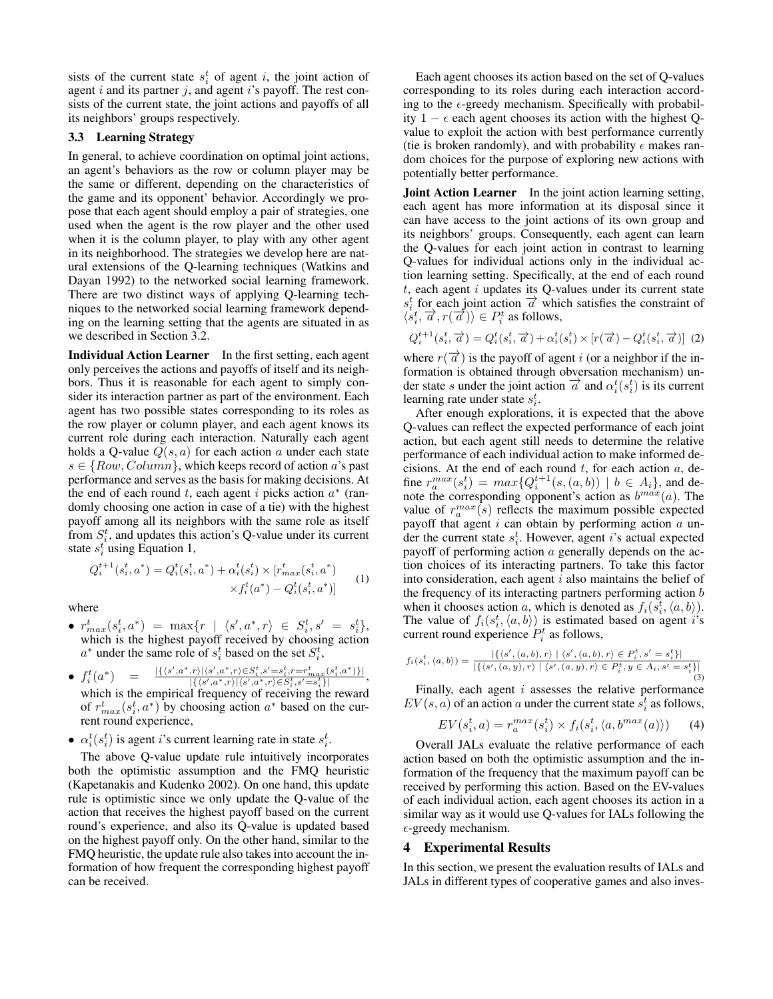sists of the current state  $s_i^t$  of agent i, the joint action of agent  $i$  and its partner  $j$ , and agent  $i$ 's payoff. The rest consists of the current state, the joint actions and payoffs of all its neighbors' groups respectively.

# 3.3 Learning Strategy

In general, to achieve coordination on optimal joint actions, an agent's behaviors as the row or column player may be the same or different, depending on the characteristics of the game and its opponent' behavior. Accordingly we propose that each agent should employ a pair of strategies, one used when the agent is the row player and the other used when it is the column player, to play with any other agent in its neighborhood. The strategies we develop here are natural extensions of the Q-learning techniques (Watkins and Dayan 1992) to the networked social learning framework. There are two distinct ways of applying Q-learning techniques to the networked social learning framework depending on the learning setting that the agents are situated in as we described in Section 3.2.

Individual Action Learner In the first setting, each agent only perceives the actions and payoffs of itself and its neighbors. Thus it is reasonable for each agent to simply consider its interaction partner as part of the environment. Each agent has two possible states corresponding to its roles as the row player or column player, and each agent knows its current role during each interaction. Naturally each agent holds a Q-value  $Q(s, a)$  for each action a under each state  $s \in \{Row, Column\}$ , which keeps record of action a's past performance and serves as the basis for making decisions. At the end of each round t, each agent i picks action  $a^*$  (randomly choosing one action in case of a tie) with the highest payoff among all its neighbors with the same role as itself from  $S_i^t$ , and updates this action's Q-value under its current state  $s_i^t$  using Equation 1,

$$
Q_i^{t+1}(s_i^t, a^*) = Q_i^t(s_i^t, a^*) + \alpha_i^t(s_i^t) \times [r_{max}^t(s_i^t, a^*)
$$
  
 
$$
\times f_i^t(a^*) - Q_i^t(s_i^t, a^*)]
$$
 (1)

where

- $r^{t}_{max}(s^{t}_{i}, a^{*}) = \max\{r \mid \langle s^{\prime}, a^{*}, r \rangle \in S^{t}_{i}, s^{\prime} = s^{t}_{i}\},$ which is the highest payoff received by choosing action  $a^*$  under the same role of  $s_i^t$  based on the set  $S_i^t$ ,
- $f_i^t(a^*$ )  $=$   $\frac{|\{(s',a^*,r)|(s',a^*,r)\in S_i^t,s'=s_i^t,r=r_{max}^t(s_i^t,a^*)\}|}{\frac{|\{f(s',a^*,r)|(s',a^*,r)\in S_i^t,s'=s_i^t,r'=s_i^t|}{\{s',a^*,r\}}\|}}$  $\frac{S_{n}(s,a^*,r) \in S_{i}, s = s_{i}, r = r_{max}(s_{i},a^{*}) \cdot |}{|\{ \langle s^{\prime}, a^{*}, r \rangle | \langle s^{\prime}, a^{*}, r \rangle \in S_{i}^{t}, s^{\prime} = s_{i}^{t} \}|},$ which is the empirical frequency of receiving the reward of  $r_{max}^t(s_i^t, a^*)$  by choosing action  $a^*$  based on the current round experience,
- $\alpha_i^t(s_i^t)$  is agent *i*'s current learning rate in state  $s_i^t$ .

The above Q-value update rule intuitively incorporates both the optimistic assumption and the FMQ heuristic (Kapetanakis and Kudenko 2002). On one hand, this update rule is optimistic since we only update the Q-value of the action that receives the highest payoff based on the current round's experience, and also its Q-value is updated based on the highest payoff only. On the other hand, similar to the FMQ heuristic, the update rule also takes into account the information of how frequent the corresponding highest payoff can be received.

Each agent chooses its action based on the set of Q-values corresponding to its roles during each interaction according to the  $\epsilon$ -greedy mechanism. Specifically with probability 1 −  $\epsilon$  each agent chooses its action with the highest Qvalue to exploit the action with best performance currently (tie is broken randomly), and with probability  $\epsilon$  makes random choices for the purpose of exploring new actions with potentially better performance.

Joint Action Learner In the joint action learning setting, each agent has more information at its disposal since it can have access to the joint actions of its own group and its neighbors' groups. Consequently, each agent can learn the Q-values for each joint action in contrast to learning Q-values for individual actions only in the individual action learning setting. Specifically, at the end of each round  $t$ , each agent  $i$  updates its Q-values under its current state s, each gent v applies to  $\leq$  values under the cancel state of  $s_i^t$  for each joint action  $\overrightarrow{\alpha}$  which satisfies the constraint of  $\langle s_i^t, \overrightarrow{a}, r(\overrightarrow{a}) \rangle \in P_i^t$  as follows,

$$
Q_i^{t+1}(s_i^t, \overrightarrow{a}) = Q_i^t(s_i^t, \overrightarrow{a}) + \alpha_i^t(s_i^t) \times [r(\overrightarrow{a}) - Q_i^t(s_i^t, \overrightarrow{a})]
$$
 (2)

where  $r(\vec{\alpha})$  is the payoff of agent i (or a neighbor if the information is obtained through obversation mechanism) under state s under the joint action  $\overrightarrow{a}$  and  $\alpha_i^t(s_i^t)$  is its current learning rate under state  $s_i^t$ .

After enough explorations, it is expected that the above Q-values can reflect the expected performance of each joint action, but each agent still needs to determine the relative performance of each individual action to make informed decisions. At the end of each round  $t$ , for each action  $a$ , define  $r_a^{max}(s_i^t) = max\{Q_i^{t+1}(s, (a, b)) \mid b \in A_i\}$ , and denote the corresponding opponent's action as  $b^{max}(a)$ . The value of  $r_a^{max}(s)$  reflects the maximum possible expected payoff that agent  $i$  can obtain by performing action  $a$  under the current state  $s_i^t$ . However, agent *i*'s actual expected payoff of performing action  $a$  generally depends on the action choices of its interacting partners. To take this factor into consideration, each agent  $i$  also maintains the belief of the frequency of its interacting partners performing action  $$ when it chooses action a, which is denoted as  $f_i(s_i^t, \langle a, b \rangle)$ . The value of  $f_i(s_i^t, \langle a, b \rangle)$  is estimated based on agent i's current round experience  $P_i^t$  as follows,

$$
f_i(s_i^t, \langle a, b \rangle) = \frac{|\{\langle s', (a, b), r \rangle \mid \langle s', (a, b), r \rangle \in P_i^t, s' = s_i^t\}|}{|\{\langle s', (a, y), r \rangle \mid \langle s', (a, y), r \rangle \in P_i^t, y \in A_i, s' = s_i^t\}|}\n\tag{3}
$$

Finally, each agent  $i$  assesses the relative performance  $EV(s, a)$  of an action a under the current state  $s_i^t$  as follows,

$$
EV(s_i^t, a) = r_a^{max}(s_i^t) \times f_i(s_i^t, \langle a, b^{max}(a) \rangle)
$$
 (4)

Overall JALs evaluate the relative performance of each action based on both the optimistic assumption and the information of the frequency that the maximum payoff can be received by performing this action. Based on the EV-values of each individual action, each agent chooses its action in a similar way as it would use Q-values for IALs following the  $\epsilon$ -greedy mechanism.

#### 4 Experimental Results

In this section, we present the evaluation results of IALs and JALs in different types of cooperative games and also inves-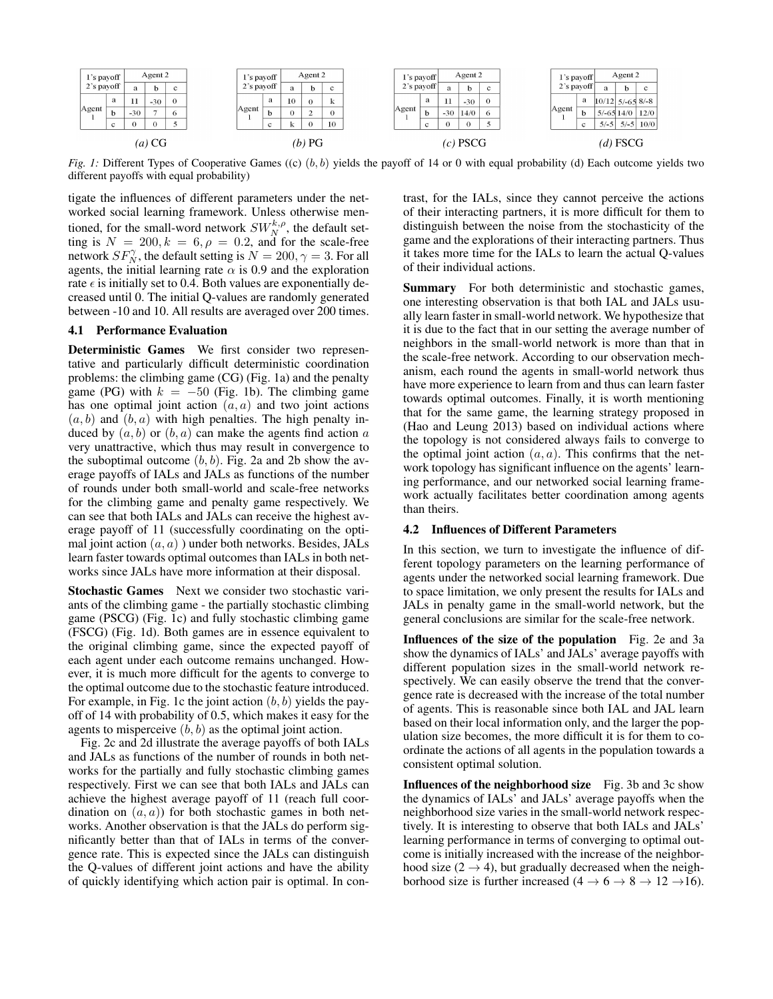| l's payoff<br>$2$ 's payoff |        | Agent 2  |       |                |  | $\iota$ 's payoff |            | Agent 2 |          |    |  | l's payoff |    | Agent 2 |          |   |          | 1's payoff |        | Agent 2     |                    |             |
|-----------------------------|--------|----------|-------|----------------|--|-------------------|------------|---------|----------|----|--|------------|----|---------|----------|---|----------|------------|--------|-------------|--------------------|-------------|
|                             |        | a        | h     | c              |  |                   | 2's payoff |         | h        | c  |  | 2's payoff |    | a       | <b>b</b> | c |          | 2's payoff |        | a           | <b>b</b>           | $\mathbf c$ |
| Agent                       | a      | -11      | $-30$ | $\overline{0}$ |  | Agent             | a          | 10      | $\theta$ | A  |  | Agent      | a  | -11     | $-30$    | C |          | Agent      | a      |             | $10/12$ 5/-65 8/-8 |             |
|                             | -le-   | $-30$    |       | $\circ$        |  |                   |            |         |          |    |  |            |    | $-30$   | 14/0     |   |          |            |        | $5/-6514/0$ |                    | 12/0        |
|                             | $\sim$ | $\Omega$ |       |                |  |                   | $\sim$     |         |          | 10 |  |            | c. |         |          |   |          |            | $\sim$ | $5/-5$      | $,   5/ - 5  $     | 10/0        |
| $(a)$ CG                    |        |          |       |                |  | $(b)$ PG          |            |         |          |    |  | $(c)$ PSCG |    |         |          |   | (d) FSCG |            |        |             |                    |             |

*Fig. 1:* Different Types of Cooperative Games ((c)  $(b, b)$  yields the payoff of 14 or 0 with equal probability (d) Each outcome yields two different payoffs with equal probability)

tigate the influences of different parameters under the networked social learning framework. Unless otherwise mentioned, for the small-word network  $SW_N^{k,\rho}$ , the default setting is  $N = 200, k = 6, \rho = 0.2$ , and for the scale-free network  $SF_N^{\gamma}$ , the default setting is  $N = 200, \gamma = 3$ . For all agents, the initial learning rate  $\alpha$  is 0.9 and the exploration rate  $\epsilon$  is initially set to 0.4. Both values are exponentially decreased until 0. The initial Q-values are randomly generated between -10 and 10. All results are averaged over 200 times.

## 4.1 Performance Evaluation

Deterministic Games We first consider two representative and particularly difficult deterministic coordination problems: the climbing game (CG) (Fig. 1a) and the penalty game (PG) with  $k = -50$  (Fig. 1b). The climbing game has one optimal joint action  $(a, a)$  and two joint actions  $(a, b)$  and  $(b, a)$  with high penalties. The high penalty induced by  $(a, b)$  or  $(b, a)$  can make the agents find action a very unattractive, which thus may result in convergence to the suboptimal outcome  $(b, b)$ . Fig. 2a and 2b show the average payoffs of IALs and JALs as functions of the number of rounds under both small-world and scale-free networks for the climbing game and penalty game respectively. We can see that both IALs and JALs can receive the highest average payoff of 11 (successfully coordinating on the optimal joint action  $(a, a)$ ) under both networks. Besides, JALs learn faster towards optimal outcomes than IALs in both networks since JALs have more information at their disposal.

Stochastic Games Next we consider two stochastic variants of the climbing game - the partially stochastic climbing game (PSCG) (Fig. 1c) and fully stochastic climbing game (FSCG) (Fig. 1d). Both games are in essence equivalent to the original climbing game, since the expected payoff of each agent under each outcome remains unchanged. However, it is much more difficult for the agents to converge to the optimal outcome due to the stochastic feature introduced. For example, in Fig. 1c the joint action  $(b, b)$  yields the payoff of 14 with probability of 0.5, which makes it easy for the agents to misperceive  $(b, b)$  as the optimal joint action.

Fig. 2c and 2d illustrate the average payoffs of both IALs and JALs as functions of the number of rounds in both networks for the partially and fully stochastic climbing games respectively. First we can see that both IALs and JALs can achieve the highest average payoff of 11 (reach full coordination on  $(a, a)$  for both stochastic games in both networks. Another observation is that the JALs do perform significantly better than that of IALs in terms of the convergence rate. This is expected since the JALs can distinguish the Q-values of different joint actions and have the ability of quickly identifying which action pair is optimal. In contrast, for the IALs, since they cannot perceive the actions of their interacting partners, it is more difficult for them to distinguish between the noise from the stochasticity of the game and the explorations of their interacting partners. Thus it takes more time for the IALs to learn the actual Q-values of their individual actions.

Summary For both deterministic and stochastic games, one interesting observation is that both IAL and JALs usually learn faster in small-world network. We hypothesize that it is due to the fact that in our setting the average number of neighbors in the small-world network is more than that in the scale-free network. According to our observation mechanism, each round the agents in small-world network thus have more experience to learn from and thus can learn faster towards optimal outcomes. Finally, it is worth mentioning that for the same game, the learning strategy proposed in (Hao and Leung 2013) based on individual actions where the topology is not considered always fails to converge to the optimal joint action  $(a, a)$ . This confirms that the network topology has significant influence on the agents' learning performance, and our networked social learning framework actually facilitates better coordination among agents than theirs.

#### 4.2 Influences of Different Parameters

In this section, we turn to investigate the influence of different topology parameters on the learning performance of agents under the networked social learning framework. Due to space limitation, we only present the results for IALs and JALs in penalty game in the small-world network, but the general conclusions are similar for the scale-free network.

Influences of the size of the population Fig. 2e and 3a show the dynamics of IALs' and JALs' average payoffs with different population sizes in the small-world network respectively. We can easily observe the trend that the convergence rate is decreased with the increase of the total number of agents. This is reasonable since both IAL and JAL learn based on their local information only, and the larger the population size becomes, the more difficult it is for them to coordinate the actions of all agents in the population towards a consistent optimal solution.

Influences of the neighborhood size Fig. 3b and 3c show the dynamics of IALs' and JALs' average payoffs when the neighborhood size varies in the small-world network respectively. It is interesting to observe that both IALs and JALs' learning performance in terms of converging to optimal outcome is initially increased with the increase of the neighborhood size  $(2 \rightarrow 4)$ , but gradually decreased when the neighborhood size is further increased (4  $\rightarrow$  6  $\rightarrow$  8  $\rightarrow$  12  $\rightarrow$  16).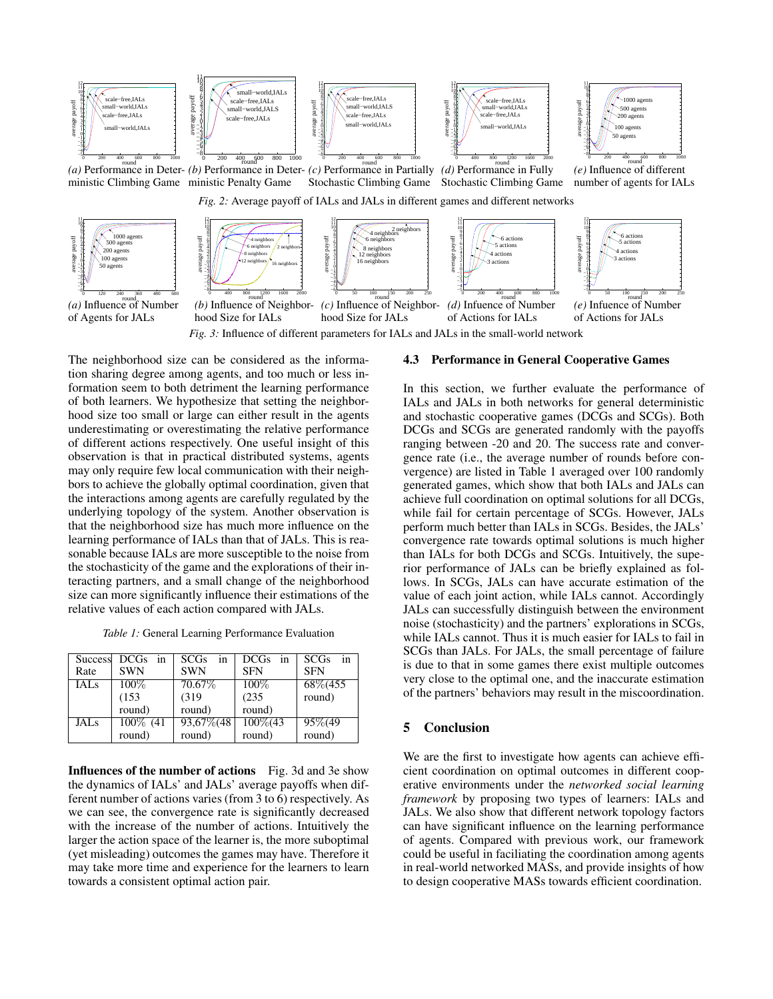

*Fig. 3:* Influence of different parameters for IALs and JALs in the small-world network

The neighborhood size can be considered as the information sharing degree among agents, and too much or less information seem to both detriment the learning performance of both learners. We hypothesize that setting the neighborhood size too small or large can either result in the agents underestimating or overestimating the relative performance of different actions respectively. One useful insight of this observation is that in practical distributed systems, agents may only require few local communication with their neighbors to achieve the globally optimal coordination, given that the interactions among agents are carefully regulated by the underlying topology of the system. Another observation is that the neighborhood size has much more influence on the learning performance of IALs than that of JALs. This is reasonable because IALs are more susceptible to the noise from the stochasticity of the game and the explorations of their interacting partners, and a small change of the neighborhood size can more significantly influence their estimations of the relative values of each action compared with JALs.

*Table 1:* General Learning Performance Evaluation

|                  | Success DCGs in | <b>SCGs</b><br>in | $DCGs$ in   | in<br><b>SCGs</b> |
|------------------|-----------------|-------------------|-------------|-------------------|
| Rate             | <b>SWN</b>      | <b>SWN</b>        | <b>SFN</b>  | <b>SFN</b>        |
| IALs             | $100\%$         | 70.67\%           | $100\%$     | 68\%(455          |
|                  | (153)           | (319)             | (235)       | round)            |
|                  | round)          | round)            | round)      |                   |
| JAL <sub>S</sub> | 100\% (41       | 93,67\%(48        | $100\%$ (43 | 95\%(49           |
|                  | round)          | round)            | round)      | round)            |

Influences of the number of actions Fig. 3d and 3e show the dynamics of IALs' and JALs' average payoffs when different number of actions varies (from 3 to 6) respectively. As we can see, the convergence rate is significantly decreased with the increase of the number of actions. Intuitively the larger the action space of the learner is, the more suboptimal (yet misleading) outcomes the games may have. Therefore it may take more time and experience for the learners to learn towards a consistent optimal action pair.

#### 4.3 Performance in General Cooperative Games

In this section, we further evaluate the performance of IALs and JALs in both networks for general deterministic and stochastic cooperative games (DCGs and SCGs). Both DCGs and SCGs are generated randomly with the payoffs ranging between -20 and 20. The success rate and convergence rate (i.e., the average number of rounds before convergence) are listed in Table 1 averaged over 100 randomly generated games, which show that both IALs and JALs can achieve full coordination on optimal solutions for all DCGs, while fail for certain percentage of SCGs. However, JALs perform much better than IALs in SCGs. Besides, the JALs' convergence rate towards optimal solutions is much higher than IALs for both DCGs and SCGs. Intuitively, the superior performance of JALs can be briefly explained as follows. In SCGs, JALs can have accurate estimation of the value of each joint action, while IALs cannot. Accordingly JALs can successfully distinguish between the environment noise (stochasticity) and the partners' explorations in SCGs, while IALs cannot. Thus it is much easier for IALs to fail in SCGs than JALs. For JALs, the small percentage of failure is due to that in some games there exist multiple outcomes very close to the optimal one, and the inaccurate estimation of the partners' behaviors may result in the miscoordination.

# 5 Conclusion

We are the first to investigate how agents can achieve efficient coordination on optimal outcomes in different cooperative environments under the *networked social learning framework* by proposing two types of learners: IALs and JALs. We also show that different network topology factors can have significant influence on the learning performance of agents. Compared with previous work, our framework could be useful in faciliating the coordination among agents in real-world networked MASs, and provide insights of how to design cooperative MASs towards efficient coordination.